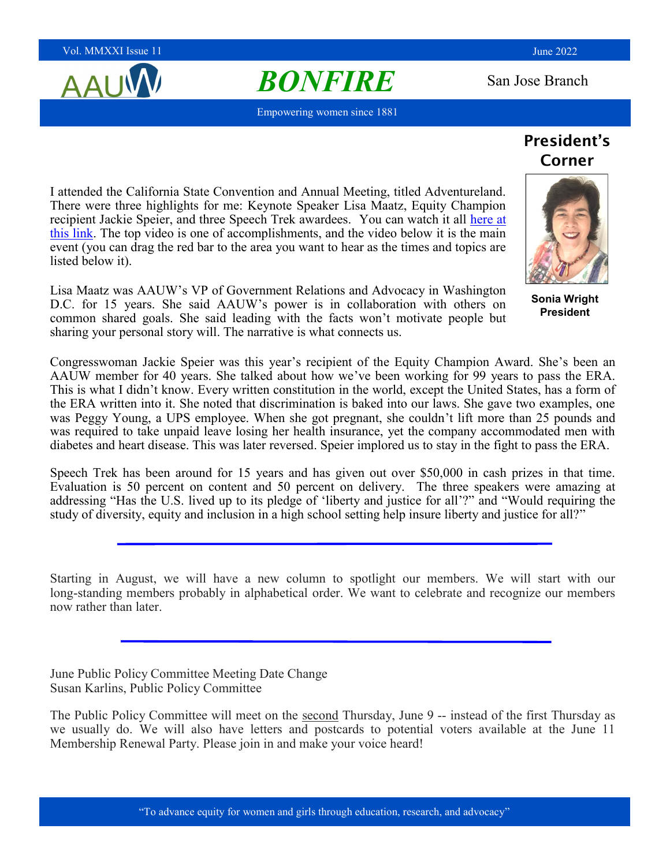Vol. MMXXI Issue 11 June 2022 **June 2022** 

AAU

# **BONFIRE** San Jose Branch

Empowering women since 1881

President's Corner

I attended the California State Convention and Annual Meeting, titled Adventureland. There were three highlights for me: Keynote Speaker Lisa Maatz, Equity Champion recipient Jackie Speier, and three Speech Trek awardees. You can watch it all here at [this link.](https://www.aauw-ca.org/2022-annual-event-a-real-adventure/) The top video is one of accomplishments, and the video below it is the main event (you can drag the red bar to the area you want to hear as the times and topics are listed below it).

Lisa Maatz was AAUW's VP of Government Relations and Advocacy in Washington D.C. for 15 years. She said AAUW's power is in collaboration with others on common shared goals. She said leading with the facts won't motivate people but sharing your personal story will. The narrative is what connects us.

Congresswoman Jackie Speier was this year's recipient of the Equity Champion Award. She's been an AAUW member for 40 years. She talked about how we've been working for 99 years to pass the ERA. This is what I didn't know. Every written constitution in the world, except the United States, has a form of the ERA written into it. She noted that discrimination is baked into our laws. She gave two examples, one was Peggy Young, a UPS employee. When she got pregnant, she couldn't lift more than 25 pounds and was required to take unpaid leave losing her health insurance, yet the company accommodated men with diabetes and heart disease. This was later reversed. Speier implored us to stay in the fight to pass the ERA.

Speech Trek has been around for 15 years and has given out over \$50,000 in cash prizes in that time. Evaluation is 50 percent on content and 50 percent on delivery. The three speakers were amazing at addressing "Has the U.S. lived up to its pledge of 'liberty and justice for all'?" and "Would requiring the study of diversity, equity and inclusion in a high school setting help insure liberty and justice for all?"

Starting in August, we will have a new column to spotlight our members. We will start with our long-standing members probably in alphabetical order. We want to celebrate and recognize our members now rather than later.

June Public Policy Committee Meeting Date Change Susan Karlins, Public Policy Committee

The Public Policy Committee will meet on the second Thursday, June 9 -- instead of the first Thursday as we usually do. We will also have letters and postcards to potential voters available at the June 11 Membership Renewal Party. Please join in and make your voice heard!



**Sonia Wright President**

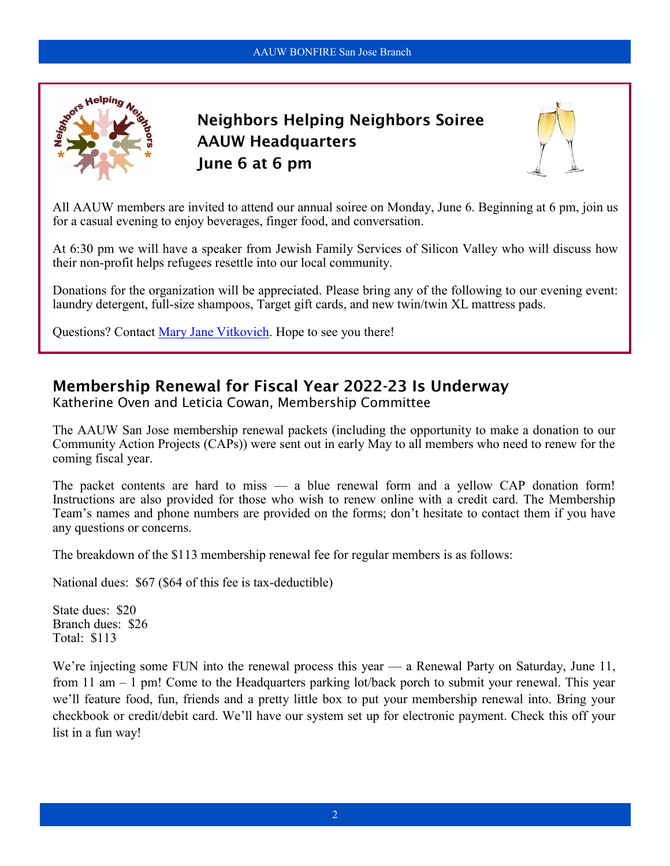

Neighbors Helping Neighbors Soiree AAUW Headquarters June 6 at 6 pm



All AAUW members are invited to attend our annual soiree on Monday, June 6. Beginning at 6 pm, join us for a casual evening to enjoy beverages, finger food, and conversation.

At 6:30 pm we will have a speaker from Jewish Family Services of Silicon Valley who will discuss how their non-profit helps refugees resettle into our local community.

Donations for the organization will be appreciated. Please bring any of the following to our evening event: laundry detergent, full-size shampoos, Target gift cards, and new twin/twin XL mattress pads.

Questions? Contact [Mary Jane Vitkovich.](mailto:neighbors@aauwsanjose.org) Hope to see you there!

### Membership Renewal for Fiscal Year 2022-23 Is Underway

Katherine Oven and Leticia Cowan, Membership Committee

The AAUW San Jose membership renewal packets (including the opportunity to make a donation to our Community Action Projects (CAPs)) were sent out in early May to all members who need to renew for the coming fiscal year.

The packet contents are hard to miss — a blue renewal form and a yellow CAP donation form! Instructions are also provided for those who wish to renew online with a credit card. The Membership Team's names and phone numbers are provided on the forms; don't hesitate to contact them if you have any questions or concerns.

The breakdown of the \$113 membership renewal fee for regular members is as follows:

National dues: \$67 (\$64 of this fee is tax-deductible)

State dues: \$20 Branch dues: \$26 Total: \$113

We're injecting some FUN into the renewal process this year — a Renewal Party on Saturday, June 11, from 11 am – 1 pm! Come to the Headquarters parking lot/back porch to submit your renewal. This year we'll feature food, fun, friends and a pretty little box to put your membership renewal into. Bring your checkbook or credit/debit card. We'll have our system set up for electronic payment. Check this off your list in a fun way!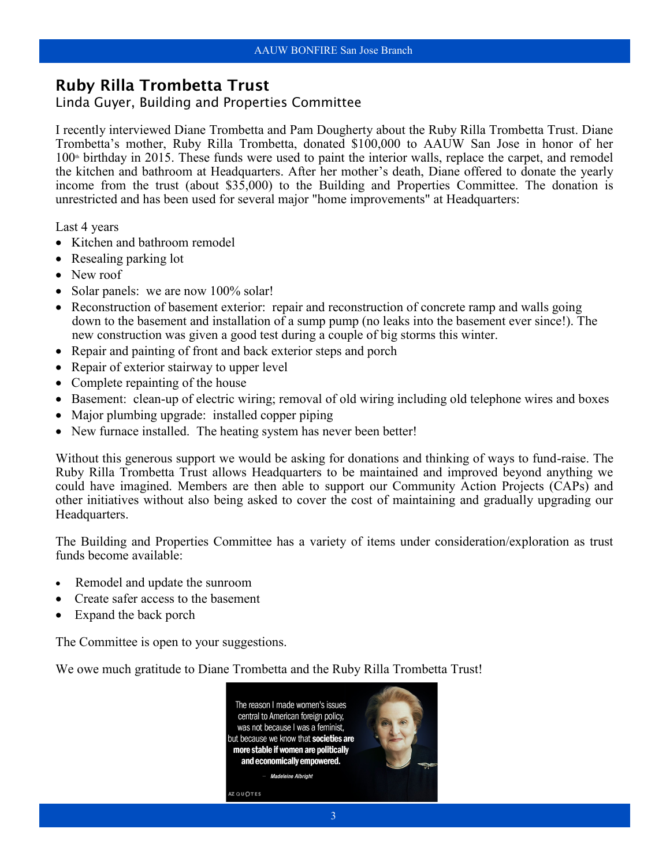#### Ruby Rilla Trombetta Trust

#### Linda Guyer, Building and Properties Committee

I recently interviewed Diane Trombetta and Pam Dougherty about the Ruby Rilla Trombetta Trust. Diane Trombetta's mother, Ruby Rilla Trombetta, donated \$100,000 to AAUW San Jose in honor of her  $100<sup>*</sup>$  birthday in 2015. These funds were used to paint the interior walls, replace the carpet, and remodel the kitchen and bathroom at Headquarters. After her mother's death, Diane offered to donate the yearly income from the trust (about \$35,000) to the Building and Properties Committee. The donation is unrestricted and has been used for several major "home improvements" at Headquarters:

Last 4 years

- Kitchen and bathroom remodel
- Resealing parking lot
- New roof
- Solar panels: we are now 100% solar!
- Reconstruction of basement exterior: repair and reconstruction of concrete ramp and walls going down to the basement and installation of a sump pump (no leaks into the basement ever since!). The new construction was given a good test during a couple of big storms this winter.
- Repair and painting of front and back exterior steps and porch
- Repair of exterior stairway to upper level
- Complete repainting of the house
- Basement: clean-up of electric wiring; removal of old wiring including old telephone wires and boxes
- Major plumbing upgrade: installed copper piping
- New furnace installed. The heating system has never been better!

Without this generous support we would be asking for donations and thinking of ways to fund-raise. The Ruby Rilla Trombetta Trust allows Headquarters to be maintained and improved beyond anything we could have imagined. Members are then able to support our Community Action Projects (CAPs) and other initiatives without also being asked to cover the cost of maintaining and gradually upgrading our Headquarters.

The Building and Properties Committee has a variety of items under consideration/exploration as trust funds become available:

- Remodel and update the sunroom
- Create safer access to the basement
- Expand the back porch

The Committee is open to your suggestions.

We owe much gratitude to Diane Trombetta and the Ruby Rilla Trombetta Trust!

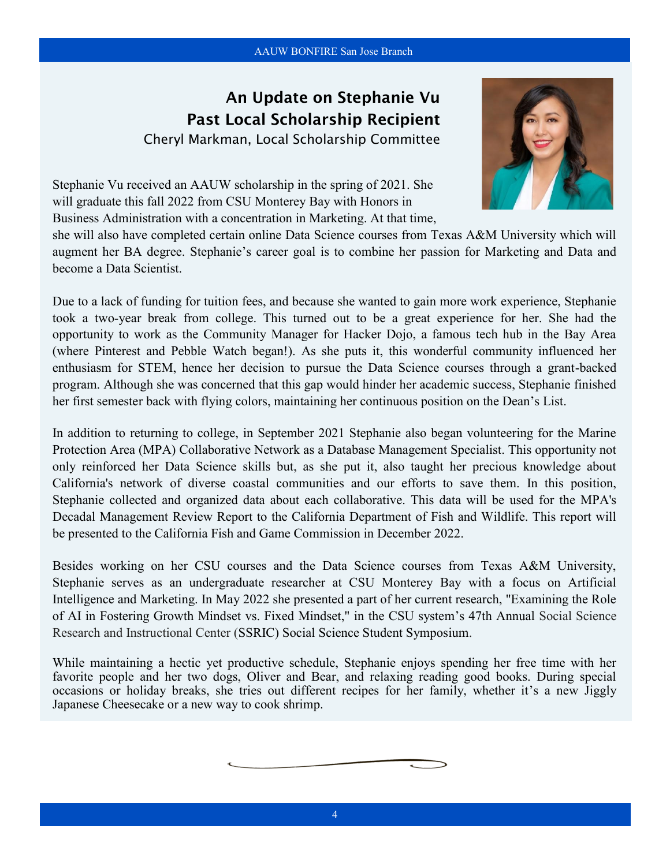### An Update on Stephanie Vu Past Local Scholarship Recipient

Cheryl Markman, Local Scholarship Committee



Stephanie Vu received an AAUW scholarship in the spring of 2021. She will graduate this fall 2022 from CSU Monterey Bay with Honors in Business Administration with a concentration in Marketing. At that time,

she will also have completed certain online Data Science courses from Texas A&M University which will augment her BA degree. Stephanie's career goal is to combine her passion for Marketing and Data and become a Data Scientist.

Due to a lack of funding for tuition fees, and because she wanted to gain more work experience, Stephanie took a two-year break from college. This turned out to be a great experience for her. She had the opportunity to work as the Community Manager for [Hacker Dojo,](https://hackerdojo.org/) a famous tech hub in the Bay Area (where Pinterest and Pebble Watch began!). As she puts it, this wonderful community influenced her enthusiasm for STEM, hence her decision to pursue the Data Science courses through a grant-backed program. Although she was concerned that this gap would hinder her academic success, Stephanie finished her first semester back with flying colors, maintaining her continuous position on the Dean's List.

In addition to returning to college, in September 2021 Stephanie also began volunteering for the Marine Protection Area (MPA) Collaborative Network as a Database Management Specialist. This opportunity not only reinforced her Data Science skills but, as she put it, also taught her precious knowledge about California's network of diverse coastal communities and our efforts to save them. In this position, Stephanie collected and organized data about each collaborative. This data will be used for the MPA's Decadal Management Review Report to the California Department of Fish and Wildlife. This report will be presented to the California Fish and Game Commission in December 2022.

Besides working on her CSU courses and the Data Science courses from Texas A&M University, Stephanie serves as an undergraduate researcher at CSU Monterey Bay with a focus on Artificial Intelligence and Marketing. In May 2022 she presented a part of her current research, "Examining the Role of AI in Fostering Growth Mindset vs. Fixed Mindset," in the CSU system's 47th Annual Social Science Research and Instructional Center (SSRIC) Social Science Student Symposium.

While maintaining a hectic yet productive schedule, Stephanie enjoys spending her free time with her favorite people and her two dogs, Oliver and Bear, and relaxing reading good books. During special occasions or holiday breaks, she tries out different recipes for her family, whether it's a new Jiggly Japanese Cheesecake or a new way to cook shrimp.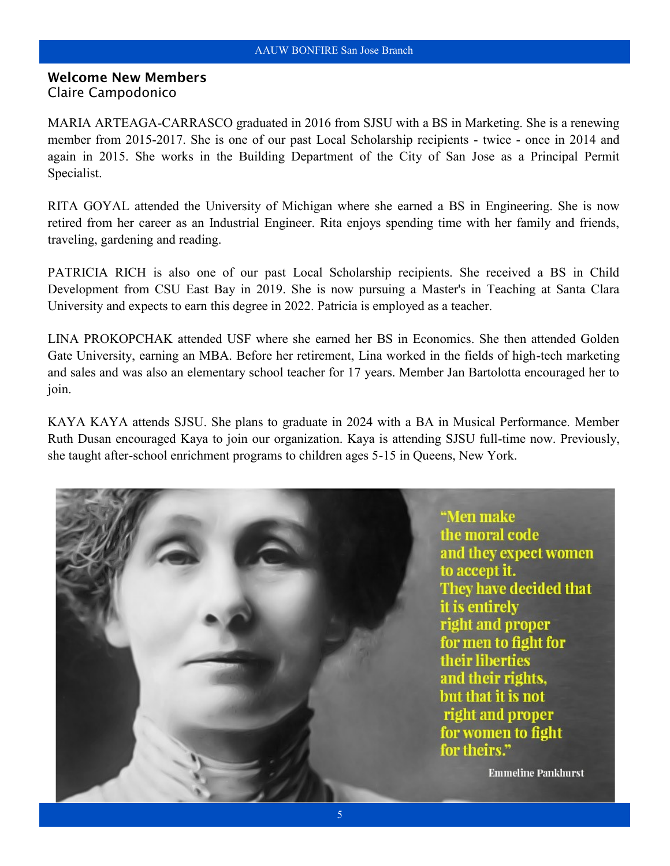#### Welcome New Members Claire Campodonico

MARIA ARTEAGA-CARRASCO graduated in 2016 from SJSU with a BS in Marketing. She is a renewing member from 2015-2017. She is one of our past Local Scholarship recipients - twice - once in 2014 and again in 2015. She works in the Building Department of the City of San Jose as a Principal Permit Specialist.

RITA GOYAL attended the University of Michigan where she earned a BS in Engineering. She is now retired from her career as an Industrial Engineer. Rita enjoys spending time with her family and friends, traveling, gardening and reading.

PATRICIA RICH is also one of our past Local Scholarship recipients. She received a BS in Child Development from CSU East Bay in 2019. She is now pursuing a Master's in Teaching at Santa Clara University and expects to earn this degree in 2022. Patricia is employed as a teacher.

LINA PROKOPCHAK attended USF where she earned her BS in Economics. She then attended Golden Gate University, earning an MBA. Before her retirement, Lina worked in the fields of high-tech marketing and sales and was also an elementary school teacher for 17 years. Member Jan Bartolotta encouraged her to join.

KAYA KAYA attends SJSU. She plans to graduate in 2024 with a BA in Musical Performance. Member Ruth Dusan encouraged Kaya to join our organization. Kaya is attending SJSU full-time now. Previously, she taught after-school enrichment programs to children ages 5-15 in Queens, New York.

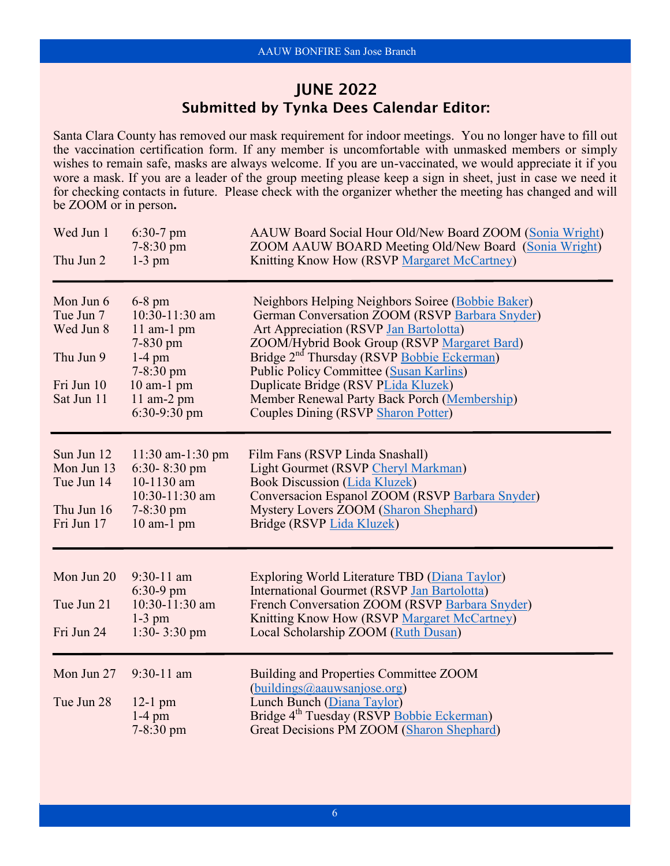### JUNE 2022 Submitted by Tynka Dees Calendar Editor:

Santa Clara County has removed our mask requirement for indoor meetings. You no longer have to fill out the vaccination certification form. If any member is uncomfortable with unmasked members or simply wishes to remain safe, masks are always welcome. If you are un-vaccinated, we would appreciate it if you wore a mask. If you are a leader of the group meeting please keep a sign in sheet, just in case we need it for checking contacts in future. Please check with the organizer whether the meeting has changed and will be ZOOM or in person**.**

| Wed Jun 1<br>Thu Jun 2                                                       | $6:30-7$ pm<br>$7 - 8:30 \text{ pm}$<br>$1-3$ pm                                                                                             | AAUW Board Social Hour Old/New Board ZOOM (Sonia Wright)<br>ZOOM AAUW BOARD Meeting Old/New Board (Sonia Wright)<br>Knitting Know How (RSVP Margaret McCartney)                                                                                                                                                                                                                                                                               |
|------------------------------------------------------------------------------|----------------------------------------------------------------------------------------------------------------------------------------------|-----------------------------------------------------------------------------------------------------------------------------------------------------------------------------------------------------------------------------------------------------------------------------------------------------------------------------------------------------------------------------------------------------------------------------------------------|
| Mon Jun 6<br>Tue Jun 7<br>Wed Jun 8<br>Thu Jun 9<br>Fri Jun 10<br>Sat Jun 11 | $6-8$ pm<br>10:30-11:30 am<br>$11$ am-1 pm<br>$7 - 830$ pm<br>$1-4$ pm<br>$7 - 8:30$ pm<br>$10$ am- $1$ pm<br>$11$ am-2 pm<br>$6:30-9:30$ pm | Neighbors Helping Neighbors Soiree (Bobbie Baker)<br>German Conversation ZOOM (RSVP Barbara Snyder)<br>Art Appreciation (RSVP Jan Bartolotta)<br>ZOOM/Hybrid Book Group (RSVP Margaret Bard)<br>Bridge 2 <sup>nd</sup> Thursday (RSVP Bobbie Eckerman)<br><b>Public Policy Committee (Susan Karlins)</b><br>Duplicate Bridge (RSV PLida Kluzek)<br>Member Renewal Party Back Porch (Membership)<br><b>Couples Dining (RSVP Sharon Potter)</b> |
| Sun Jun 12<br>Mon Jun 13<br>Tue Jun 14<br>Thu Jun 16<br>Fri Jun 17           | $11:30$ am- $1:30$ pm<br>6:30-8:30 pm<br>10-1130 am<br>10:30-11:30 am<br>$7 - 8:30$ pm<br>$10$ am- $1$ pm                                    | Film Fans (RSVP Linda Snashall)<br>Light Gourmet (RSVP Cheryl Markman)<br><b>Book Discussion (Lida Kluzek)</b><br>Conversacion Espanol ZOOM (RSVP Barbara Snyder)<br><b>Mystery Lovers ZOOM (Sharon Shephard)</b><br>Bridge (RSVP Lida Kluzek)                                                                                                                                                                                                |
| Mon Jun 20<br>Tue Jun 21<br>Fri Jun 24                                       | $9:30-11$ am<br>$6:30-9$ pm<br>10:30-11:30 am<br>$1-3$ pm<br>$1:30-3:30$ pm                                                                  | Exploring World Literature TBD (Diana Taylor)<br>International Gourmet (RSVP Jan Bartolotta)<br>French Conversation ZOOM (RSVP Barbara Snyder)<br>Knitting Know How (RSVP Margaret McCartney)<br>Local Scholarship ZOOM (Ruth Dusan)                                                                                                                                                                                                          |
| Mon Jun 27<br>Tue Jun 28                                                     | $9:30-11$ am<br>$12-1$ pm<br>$1-4$ pm<br>$7 - 8:30$ pm                                                                                       | Building and Properties Committee ZOOM<br>(buildings@aauwsanjose.org)<br>Lunch Bunch (Diana Taylor)<br>Bridge 4 <sup>th</sup> Tuesday (RSVP Bobbie Eckerman)<br><b>Great Decisions PM ZOOM (Sharon Shephard)</b>                                                                                                                                                                                                                              |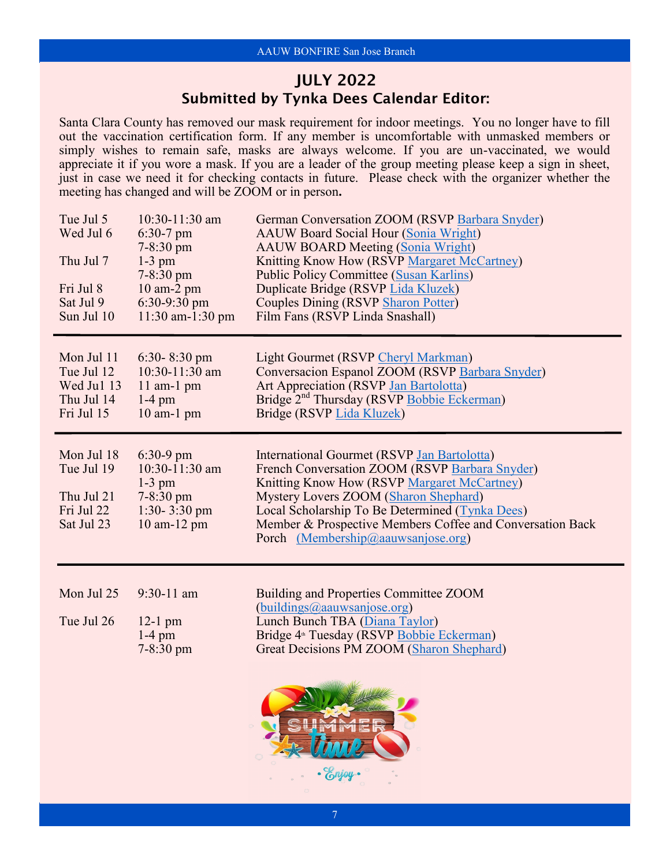### JULY 2022 Submitted by Tynka Dees Calendar Editor:

Santa Clara County has removed our mask requirement for indoor meetings. You no longer have to fill out the vaccination certification form. If any member is uncomfortable with unmasked members or simply wishes to remain safe, masks are always welcome. If you are un-vaccinated, we would appreciate it if you wore a mask. If you are a leader of the group meeting please keep a sign in sheet, just in case we need it for checking contacts in future. Please check with the organizer whether the meeting has changed and will be ZOOM or in person**.**

| Tue Jul 5<br>Wed Jul 6<br>Thu Jul 7<br>Fri Jul 8<br>Sat Jul 9<br>Sun Jul 10 | 10:30-11:30 am<br>$6:30-7$ pm<br>7-8:30 pm<br>$1-3$ pm<br>$7 - 8:30$ pm<br>10 am-2 pm<br>$6:30-9:30$ pm<br>11:30 am-1:30 pm | German Conversation ZOOM (RSVP Barbara Snyder)<br><b>AAUW Board Social Hour (Sonia Wright)</b><br><b>AAUW BOARD Meeting (Sonia Wright)</b><br>Knitting Know How (RSVP Margaret McCartney)<br><b>Public Policy Committee (Susan Karlins)</b><br>Duplicate Bridge (RSVP Lida Kluzek)<br><b>Couples Dining (RSVP Sharon Potter)</b><br>Film Fans (RSVP Linda Snashall) |
|-----------------------------------------------------------------------------|-----------------------------------------------------------------------------------------------------------------------------|---------------------------------------------------------------------------------------------------------------------------------------------------------------------------------------------------------------------------------------------------------------------------------------------------------------------------------------------------------------------|
| Mon Jul 11<br>Tue Jul 12<br>Wed Jul 13<br>Thu Jul 14<br>Fri Jul 15          | $6:30 - 8:30$ pm<br>10:30-11:30 am<br>$11$ am- $1$ pm<br>$1-4$ pm<br>$10$ am- $1$ pm                                        | Light Gourmet (RSVP Cheryl Markman)<br>Conversacion Espanol ZOOM (RSVP Barbara Snyder)<br>Art Appreciation (RSVP Jan Bartolotta)<br>Bridge 2 <sup>nd</sup> Thursday (RSVP Bobbie Eckerman)<br>Bridge (RSVP Lida Kluzek)                                                                                                                                             |
| Mon Jul 18<br>Tue Jul 19<br>Thu Jul 21<br>Fri Jul 22<br>Sat Jul 23          | $6:30-9$ pm<br>10:30-11:30 am<br>$1-3$ pm<br>$7 - 8:30$ pm<br>1:30-3:30 pm<br>10 am-12 pm                                   | International Gourmet (RSVP Jan Bartolotta)<br>French Conversation ZOOM (RSVP Barbara Snyder)<br>Knitting Know How (RSVP Margaret McCartney)<br>Mystery Lovers ZOOM (Sharon Shephard)<br>Local Scholarship To Be Determined (Tynka Dees)<br>Member & Prospective Members Coffee and Conversation Back<br>Porch (Membership@aauwsanjose.org)                         |
| Mon Jul 25<br>Tue Jul 26                                                    | 9:30-11 am<br>$12-1$ pm<br>$1-4$ pm<br>$7 - 8:30$ pm                                                                        | Building and Properties Committee ZOOM<br>(buildings@aauwsanjose.org)<br>Lunch Bunch TBA (Diana Taylor)<br>Bridge 4 <sup>th</sup> Tuesday (RSVP Bobbie Eckerman)<br>Great Decisions PM ZOOM (Sharon Shephard)                                                                                                                                                       |